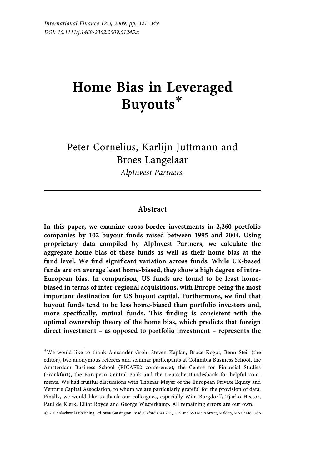# Home Bias in Leveraged nas in Le<br>Buyouts<sup>\*</sup>

Peter Cornelius, Karlijn Juttmann and Broes Langelaar

AlpInvest Partners.

# Abstract

In this paper, we examine cross-border investments in 2,260 portfolio companies by 102 buyout funds raised between 1995 and 2004. Using proprietary data compiled by AlpInvest Partners, we calculate the aggregate home bias of these funds as well as their home bias at the fund level. We find significant variation across funds. While UK-based funds are on average least home-biased, they show a high degree of intra-European bias. In comparison, US funds are found to be least homebiased in terms of inter-regional acquisitions, with Europe being the most important destination for US buyout capital. Furthermore, we find that buyout funds tend to be less home-biased than portfolio investors and, more specifically, mutual funds. This finding is consistent with the optimal ownership theory of the home bias, which predicts that foreign direct investment – as opposed to portfolio investment – represents the

<sup>-</sup>We would like to thank Alexander Groh, Steven Kaplan, Bruce Kogut, Benn Steil (the editor), two anonymous referees and seminar participants at Columbia Business School, the Amsterdam Business School (RICAFE2 conference), the Centre for Financial Studies (Frankfurt), the European Central Bank and the Deutsche Bundesbank for helpful comments. We had fruitful discussions with Thomas Meyer of the European Private Equity and Venture Capital Association, to whom we are particularly grateful for the provision of data. Finally, we would like to thank our colleagues, especially Wim Borgdorff, Tjarko Hector, Paul de Klerk, Elliot Royce and George Westerkamp. All remaining errors are our own.

 $\odot$  2009 Blackwell Publishing Ltd. 9600 Garsington Road, Oxford OX4 2DQ, UK and 350 Main Street, Malden, MA 02148, USA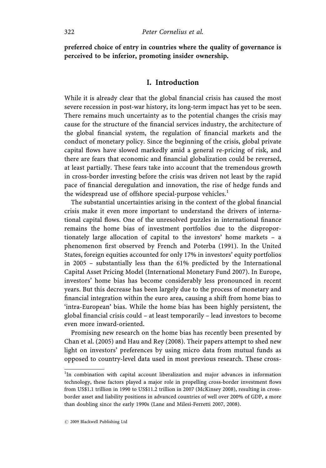preferred choice of entry in countries where the quality of governance is perceived to be inferior, promoting insider ownership.

## I. Introduction

While it is already clear that the global financial crisis has caused the most severe recession in post-war history, its long-term impact has yet to be seen. There remains much uncertainty as to the potential changes the crisis may cause for the structure of the financial services industry, the architecture of the global financial system, the regulation of financial markets and the conduct of monetary policy. Since the beginning of the crisis, global private capital flows have slowed markedly amid a general re-pricing of risk, and there are fears that economic and financial globalization could be reversed, at least partially. These fears take into account that the tremendous growth in cross-border investing before the crisis was driven not least by the rapid pace of financial deregulation and innovation, the rise of hedge funds and the widespread use of offshore special-purpose vehicles.<sup>1</sup>

The substantial uncertainties arising in the context of the global financial crisis make it even more important to understand the drivers of international capital flows. One of the unresolved puzzles in international finance remains the home bias of investment portfolios due to the disproportionately large allocation of capital to the investors' home markets – a phenomenon first observed by French and Poterba (1991). In the United States, foreign equities accounted for only 17% in investors' equity portfolios in 2005 – substantially less than the 61% predicted by the International Capital Asset Pricing Model (International Monetary Fund 2007). In Europe, investors' home bias has become considerably less pronounced in recent years. But this decrease has been largely due to the process of monetary and financial integration within the euro area, causing a shift from home bias to 'intra-European' bias. While the home bias has been highly persistent, the global financial crisis could – at least temporarily – lead investors to become even more inward-oriented.

Promising new research on the home bias has recently been presented by Chan et al. (2005) and Hau and Rey (2008). Their papers attempt to shed new light on investors' preferences by using micro data from mutual funds as opposed to country-level data used in most previous research. These cross-

<sup>&</sup>lt;sup>1</sup>In combination with capital account liberalization and major advances in information technology, these factors played a major role in propelling cross-border investment flows from US\$1.1 trillion in 1990 to US\$11.2 trillion in 2007 (McKinsey 2008), resulting in crossborder asset and liability positions in advanced countries of well over 200% of GDP, a more than doubling since the early 1990s (Lane and Milesi-Ferretti 2007, 2008).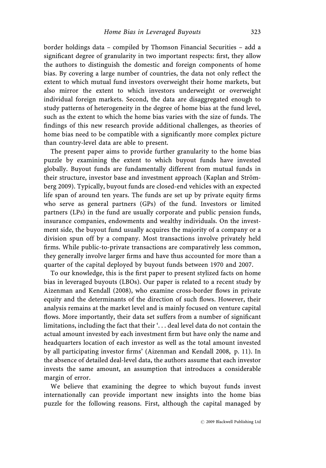border holdings data – compiled by Thomson Financial Securities – add a significant degree of granularity in two important respects: first, they allow the authors to distinguish the domestic and foreign components of home bias. By covering a large number of countries, the data not only reflect the extent to which mutual fund investors overweight their home markets, but also mirror the extent to which investors underweight or overweight individual foreign markets. Second, the data are disaggregated enough to study patterns of heterogeneity in the degree of home bias at the fund level, such as the extent to which the home bias varies with the size of funds. The findings of this new research provide additional challenges, as theories of home bias need to be compatible with a significantly more complex picture than country-level data are able to present.

The present paper aims to provide further granularity to the home bias puzzle by examining the extent to which buyout funds have invested globally. Buyout funds are fundamentally different from mutual funds in their structure, investor base and investment approach (Kaplan and Strömberg 2009). Typically, buyout funds are closed-end vehicles with an expected life span of around ten years. The funds are set up by private equity firms who serve as general partners (GPs) of the fund. Investors or limited partners (LPs) in the fund are usually corporate and public pension funds, insurance companies, endowments and wealthy individuals. On the investment side, the buyout fund usually acquires the majority of a company or a division spun off by a company. Most transactions involve privately held firms. While public-to-private transactions are comparatively less common, they generally involve larger firms and have thus accounted for more than a quarter of the capital deployed by buyout funds between 1970 and 2007.

To our knowledge, this is the first paper to present stylized facts on home bias in leveraged buyouts (LBOs). Our paper is related to a recent study by Aizenman and Kendall (2008), who examine cross-border flows in private equity and the determinants of the direction of such flows. However, their analysis remains at the market level and is mainly focused on venture capital flows. More importantly, their data set suffers from a number of significant limitations, including the fact that their '. . . deal level data do not contain the actual amount invested by each investment firm but have only the name and headquarters location of each investor as well as the total amount invested by all participating investor firms' (Aizenman and Kendall 2008, p. 11). In the absence of detailed deal-level data, the authors assume that each investor invests the same amount, an assumption that introduces a considerable margin of error.

We believe that examining the degree to which buyout funds invest internationally can provide important new insights into the home bias puzzle for the following reasons. First, although the capital managed by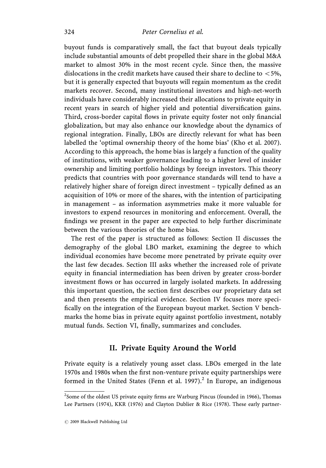buyout funds is comparatively small, the fact that buyout deals typically include substantial amounts of debt propelled their share in the global M&A market to almost 30% in the most recent cycle. Since then, the massive dislocations in the credit markets have caused their share to decline to  $<$  5%, but it is generally expected that buyouts will regain momentum as the credit markets recover. Second, many institutional investors and high-net-worth individuals have considerably increased their allocations to private equity in recent years in search of higher yield and potential diversification gains. Third, cross-border capital flows in private equity foster not only financial globalization, but may also enhance our knowledge about the dynamics of regional integration. Finally, LBOs are directly relevant for what has been labelled the 'optimal ownership theory of the home bias' (Kho et al. 2007). According to this approach, the home bias is largely a function of the quality of institutions, with weaker governance leading to a higher level of insider ownership and limiting portfolio holdings by foreign investors. This theory predicts that countries with poor governance standards will tend to have a relatively higher share of foreign direct investment – typically defined as an acquisition of 10% or more of the shares, with the intention of participating in management – as information asymmetries make it more valuable for investors to expend resources in monitoring and enforcement. Overall, the findings we present in the paper are expected to help further discriminate between the various theories of the home bias.

The rest of the paper is structured as follows: Section II discusses the demography of the global LBO market, examining the degree to which individual economies have become more penetrated by private equity over the last few decades. Section III asks whether the increased role of private equity in financial intermediation has been driven by greater cross-border investment flows or has occurred in largely isolated markets. In addressing this important question, the section first describes our proprietary data set and then presents the empirical evidence. Section IV focuses more specifically on the integration of the European buyout market. Section V benchmarks the home bias in private equity against portfolio investment, notably mutual funds. Section VI, finally, summarizes and concludes.

# II. Private Equity Around the World

Private equity is a relatively young asset class. LBOs emerged in the late 1970s and 1980s when the first non-venture private equity partnerships were formed in the United States (Fenn et al. 1997).<sup>2</sup> In Europe, an indigenous

<sup>&</sup>lt;sup>2</sup>Some of the oldest US private equity firms are Warburg Pincus (founded in 1966), Thomas Lee Partners (1974), KKR (1976) and Clayton Dublier & Rice (1978). These early partner-

 $O$  2009 Blackwell Publishing Ltd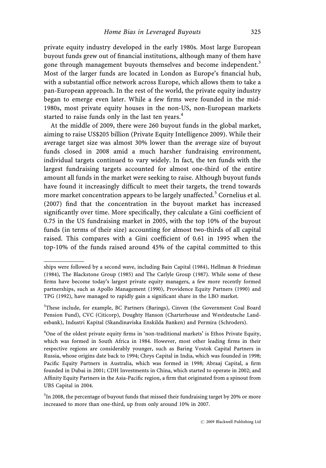private equity industry developed in the early 1980s. Most large European buyout funds grew out of financial institutions, although many of them have gone through management buyouts themselves and become independent.<sup>3</sup> Most of the larger funds are located in London as Europe's financial hub, with a substantial office network across Europe, which allows them to take a pan-European approach. In the rest of the world, the private equity industry began to emerge even later. While a few firms were founded in the mid-1980s, most private equity houses in the non-US, non-European markets started to raise funds only in the last ten years.<sup>4</sup>

At the middle of 2009, there were 260 buyout funds in the global market, aiming to raise US\$205 billion (Private Equity Intelligence 2009). While their average target size was almost 30% lower than the average size of buyout funds closed in 2008 amid a much harsher fundraising environment, individual targets continued to vary widely. In fact, the ten funds with the largest fundraising targets accounted for almost one-third of the entire amount all funds in the market were seeking to raise. Although buyout funds have found it increasingly difficult to meet their targets, the trend towards more market concentration appears to be largely unaffected.<sup>5</sup> Cornelius et al. (2007) find that the concentration in the buyout market has increased significantly over time. More specifically, they calculate a Gini coefficient of 0.75 in the US fundraising market in 2005, with the top 10% of the buyout funds (in terms of their size) accounting for almost two-thirds of all capital raised. This compares with a Gini coefficient of 0.61 in 1995 when the top-10% of the funds raised around 45% of the capital committed to this

ships were followed by a second wave, including Bain Capital (1984), Hellman & Friedman (1984), The Blackstone Group (1985) and The Carlyle Group (1987). While some of these firms have become today's largest private equity managers, a few more recently formed partnerships, such as Apollo Management (1990), Providence Equity Partners (1990) and TPG (1992), have managed to rapidly gain a significant share in the LBO market.

<sup>&</sup>lt;sup>3</sup>These include, for example, BC Partners (Barings), Cinven (the Government Coal Board Pension Fund), CVC (Citicorp), Doughty Hanson (Charterhouse and Westdeutsche Landesbank), Industri Kapital (Skandinaviska Enskilda Banken) and Permira (Schroders).

<sup>&</sup>lt;sup>4</sup>One of the oldest private equity firms in 'non-traditional markets' is Ethos Private Equity, which was formed in South Africa in 1984. However, most other leading firms in their respective regions are considerably younger, such as Baring Vostok Capital Partners in Russia, whose origins date back to 1994; Chrys Capital in India, which was founded in 1998; Pacific Equity Partners in Australia, which was formed in 1998; Abraaj Capital, a firm founded in Dubai in 2001; CDH Investments in China, which started to operate in 2002; and Affinity Equity Partners in the Asia-Pacific region, a firm that originated from a spinout from UBS Capital in 2004.

 $^{5}$ In 2008, the percentage of buyout funds that missed their fundraising target by 20% or more increased to more than one-third, up from only around 10% in 2007.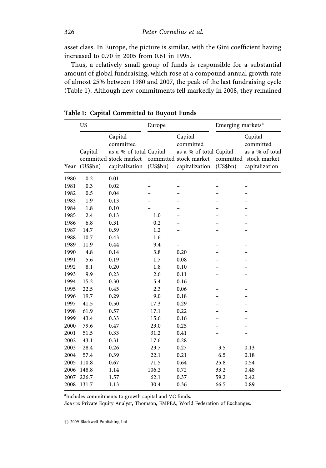asset class. In Europe, the picture is similar, with the Gini coefficient having increased to 0.70 in 2005 from 0.61 in 1995.

Thus, a relatively small group of funds is responsible for a substantial amount of global fundraising, which rose at a compound annual growth rate of almost 25% between 1980 and 2007, the peak of the last fundraising cycle (Table 1). Although new commitments fell markedly in 2008, they remained

|      | US                    |                                                                                             | Europe   |                                                                                             | Emerging markets <sup>a</sup> |                                                                                     |
|------|-----------------------|---------------------------------------------------------------------------------------------|----------|---------------------------------------------------------------------------------------------|-------------------------------|-------------------------------------------------------------------------------------|
| Year | Capital<br>$(US\$bn)$ | Capital<br>committed<br>as a % of total Capital<br>committed stock market<br>capitalization | (US\$bn) | Capital<br>committed<br>as a % of total Capital<br>committed stock market<br>capitalization | (US\$bh)                      | Capital<br>committed<br>as a % of total<br>committed stock market<br>capitalization |
| 1980 | 0.2                   | 0.01                                                                                        |          | $\overline{\phantom{0}}$                                                                    |                               |                                                                                     |
| 1981 | 0.3                   | 0.02                                                                                        |          |                                                                                             |                               |                                                                                     |
| 1982 | 0.5                   | 0.04                                                                                        |          |                                                                                             |                               |                                                                                     |
| 1983 | 1.9                   | 0.13                                                                                        |          |                                                                                             |                               |                                                                                     |
| 1984 | 1.8                   | 0.10                                                                                        |          |                                                                                             |                               |                                                                                     |
| 1985 | 2.4                   | 0.13                                                                                        | 1.0      |                                                                                             |                               |                                                                                     |
| 1986 | 6.8                   | 0.31                                                                                        | 0.2      |                                                                                             |                               |                                                                                     |
| 1987 | 14.7                  | 0.59                                                                                        | 1.2      |                                                                                             |                               |                                                                                     |
| 1988 | 10.7                  | 0.43                                                                                        | 1.6      |                                                                                             |                               |                                                                                     |
| 1989 | 11.9                  | 0.44                                                                                        | 9.4      |                                                                                             |                               |                                                                                     |
| 1990 | 4.8                   | 0.14                                                                                        | 3.8      | 0.20                                                                                        |                               |                                                                                     |
| 1991 | 5.6                   | 0.19                                                                                        | 1.7      | 0.08                                                                                        |                               |                                                                                     |
| 1992 | 8.1                   | 0.20                                                                                        | 1.8      | 0.10                                                                                        |                               |                                                                                     |
| 1993 | 9.9                   | 0.23                                                                                        | 2.6      | 0.11                                                                                        |                               |                                                                                     |
| 1994 | 15.2                  | 0.30                                                                                        | 5.4      | 0.16                                                                                        |                               |                                                                                     |
| 1995 | 22.5                  | 0.45                                                                                        | 2.3      | 0.06                                                                                        |                               |                                                                                     |
| 1996 | 19.7                  | 0.29                                                                                        | 9.0      | 0.18                                                                                        |                               |                                                                                     |
| 1997 | 41.5                  | 0.50                                                                                        | 17.3     | 0.29                                                                                        |                               |                                                                                     |
| 1998 | 61.9                  | 0.57                                                                                        | 17.1     | 0.22                                                                                        |                               |                                                                                     |
| 1999 | 43.4                  | 0.33                                                                                        | 15.6     | 0.16                                                                                        |                               |                                                                                     |
| 2000 | 79.6                  | 0.47                                                                                        | 23.0     | 0.25                                                                                        |                               |                                                                                     |
| 2001 | 51.5                  | 0.33                                                                                        | 31.2     | 0.41                                                                                        |                               |                                                                                     |
| 2002 | 43.1                  | 0.31                                                                                        | 17.6     | 0.28                                                                                        |                               |                                                                                     |
| 2003 | 28.4                  | 0.26                                                                                        | 23.7     | 0.27                                                                                        | 3.5                           | 0.13                                                                                |
| 2004 | 57.4                  | 0.39                                                                                        | 22.1     | 0.21                                                                                        | 6.5                           | 0.18                                                                                |
| 2005 | 110.8                 | 0.67                                                                                        | 71.5     | 0.64                                                                                        | 25.8                          | 0.54                                                                                |
| 2006 | 148.8                 | 1.14                                                                                        | 106.2    | 0.72                                                                                        | 33.2                          | 0.48                                                                                |
| 2007 | 226.7                 | 1.57                                                                                        | 62.1     | 0.37                                                                                        | 59.2                          | 0.42                                                                                |
| 2008 | 131.7                 | 1.13                                                                                        | 30.4     | 0.36                                                                                        | 66.5                          | 0.89                                                                                |

#### Table 1: Capital Committed to Buyout Funds

a Includes commitments to growth capital and VC funds.

Source: Private Equity Analyst, Thomson, EMPEA, World Federation of Exchanges.

 $O$  2009 Blackwell Publishing Ltd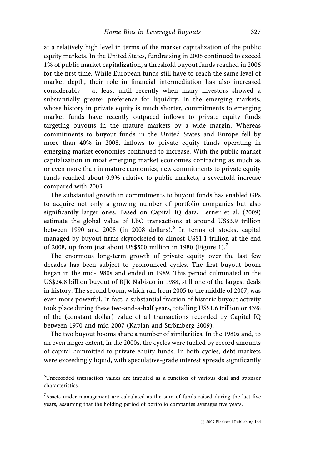at a relatively high level in terms of the market capitalization of the public equity markets. In the United States, fundraising in 2008 continued to exceed 1% of public market capitalization, a threshold buyout funds reached in 2006 for the first time. While European funds still have to reach the same level of market depth, their role in financial intermediation has also increased considerably – at least until recently when many investors showed a substantially greater preference for liquidity. In the emerging markets, whose history in private equity is much shorter, commitments to emerging market funds have recently outpaced inflows to private equity funds targeting buyouts in the mature markets by a wide margin. Whereas commitments to buyout funds in the United States and Europe fell by more than 40% in 2008, inflows to private equity funds operating in emerging market economies continued to increase. With the public market capitalization in most emerging market economies contracting as much as or even more than in mature economies, new commitments to private equity funds reached about 0.9% relative to public markets, a sevenfold increase compared with 2003.

The substantial growth in commitments to buyout funds has enabled GPs to acquire not only a growing number of portfolio companies but also significantly larger ones. Based on Capital IQ data, Lerner et al. (2009) estimate the global value of LBO transactions at around US\$3.9 trillion between 1990 and 2008 (in 2008 dollars).<sup>6</sup> In terms of stocks, capital managed by buyout firms skyrocketed to almost US\$1.1 trillion at the end of 2008, up from just about US\$500 million in 1980 (Figure 1).<sup>7</sup>

The enormous long-term growth of private equity over the last few decades has been subject to pronounced cycles. The first buyout boom began in the mid-1980s and ended in 1989. This period culminated in the US\$24.8 billion buyout of RJR Nabisco in 1988, still one of the largest deals in history. The second boom, which ran from 2005 to the middle of 2007, was even more powerful. In fact, a substantial fraction of historic buyout activity took place during these two-and-a-half years, totalling US\$1.6 trillion or 43% of the (constant dollar) value of all transactions recorded by Capital IQ between 1970 and mid-2007 (Kaplan and Strömberg 2009).

The two buyout booms share a number of similarities. In the 1980s and, to an even larger extent, in the 2000s, the cycles were fuelled by record amounts of capital committed to private equity funds. In both cycles, debt markets were exceedingly liquid, with speculative-grade interest spreads significantly

<sup>6</sup> Unrecorded transaction values are imputed as a function of various deal and sponsor characteristics.

 $7$ Assets under management are calculated as the sum of funds raised during the last five years, assuming that the holding period of portfolio companies averages five years.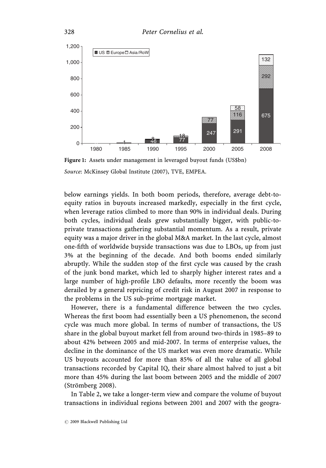

Figure 1: Assets under management in leveraged buyout funds (US\$bn) Source: McKinsey Global Institute (2007), TVE, EMPEA.

below earnings yields. In both boom periods, therefore, average debt-toequity ratios in buyouts increased markedly, especially in the first cycle, when leverage ratios climbed to more than 90% in individual deals. During both cycles, individual deals grew substantially bigger, with public-toprivate transactions gathering substantial momentum. As a result, private equity was a major driver in the global M&A market. In the last cycle, almost one-fifth of worldwide buyside transactions was due to LBOs, up from just 3% at the beginning of the decade. And both booms ended similarly abruptly. While the sudden stop of the first cycle was caused by the crash of the junk bond market, which led to sharply higher interest rates and a large number of high-profile LBO defaults, more recently the boom was derailed by a general repricing of credit risk in August 2007 in response to the problems in the US sub-prime mortgage market.

However, there is a fundamental difference between the two cycles. Whereas the first boom had essentially been a US phenomenon, the second cycle was much more global. In terms of number of transactions, the US share in the global buyout market fell from around two-thirds in 1985–89 to about 42% between 2005 and mid-2007. In terms of enterprise values, the decline in the dominance of the US market was even more dramatic. While US buyouts accounted for more than 85% of all the value of all global transactions recorded by Capital IQ, their share almost halved to just a bit more than 45% during the last boom between 2005 and the middle of 2007 (Strömberg 2008).

In Table 2, we take a longer-term view and compare the volume of buyout transactions in individual regions between 2001 and 2007 with the geogra-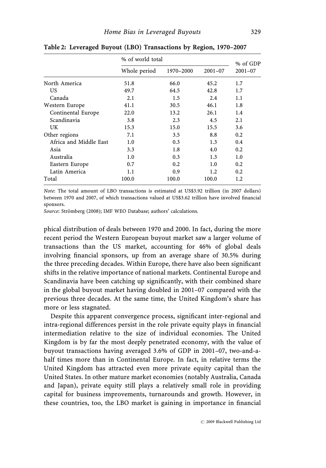|                        | % of world total |           |             | % of GDP    |
|------------------------|------------------|-----------|-------------|-------------|
|                        | Whole period     | 1970-2000 | $2001 - 07$ | $2001 - 07$ |
| North America          | 51.8             | 66.0      | 45.2        | 1.7         |
| US                     | 49.7             | 64.5      | 42.8        | 1.7         |
| Canada                 | 2.1              | 1.5       | 2.4         | 1.1         |
| Western Europe         | 41.1             | 30.5      | 46.1        | 1.8         |
| Continental Europe     | 22.0             | 13.2      | 26.1        | 1.4         |
| Scandinavia            | 3.8              | 2.3       | 4.5         | 2.1         |
| UK                     | 15.3             | 15.0      | 15.5        | 3.6         |
| Other regions          | 7.1              | 3.5       | 8.8         | 0.2         |
| Africa and Middle East | 1.0              | 0.3       | 1.3         | 0.4         |
| Asia                   | 3.3              | 1.8       | 4.0         | 0.2         |
| Australia              | 1.0              | 0.3       | 1.3         | 1.0         |
| Eastern Europe         | 0.7              | 0.2       | 1.0         | 0.2         |
| Latin America          | 1.1              | 0.9       | 1.2         | 0.2         |
| Total                  | 100.0            | 100.0     | 100.0       | 1.2         |

Table 2: Leveraged Buyout (LBO) Transactions by Region, 1970–2007

Note: The total amount of LBO transactions is estimated at US\$3.92 trillion (in 2007 dollars) between 1970 and 2007, of which transactions valued at US\$3.62 trillion have involved financial sponsors.

Source: Strömberg (2008); IMF WEO Database; authors' calculations.

phical distribution of deals between 1970 and 2000. In fact, during the more recent period the Western European buyout market saw a larger volume of transactions than the US market, accounting for 46% of global deals involving financial sponsors, up from an average share of 30.5% during the three preceding decades. Within Europe, there have also been significant shifts in the relative importance of national markets. Continental Europe and Scandinavia have been catching up significantly, with their combined share in the global buyout market having doubled in 2001–07 compared with the previous three decades. At the same time, the United Kingdom's share has more or less stagnated.

Despite this apparent convergence process, significant inter-regional and intra-regional differences persist in the role private equity plays in financial intermediation relative to the size of individual economies. The United Kingdom is by far the most deeply penetrated economy, with the value of buyout transactions having averaged 3.6% of GDP in 2001–07, two-and-ahalf times more than in Continental Europe. In fact, in relative terms the United Kingdom has attracted even more private equity capital than the United States. In other mature market economies (notably Australia, Canada and Japan), private equity still plays a relatively small role in providing capital for business improvements, turnarounds and growth. However, in these countries, too, the LBO market is gaining in importance in financial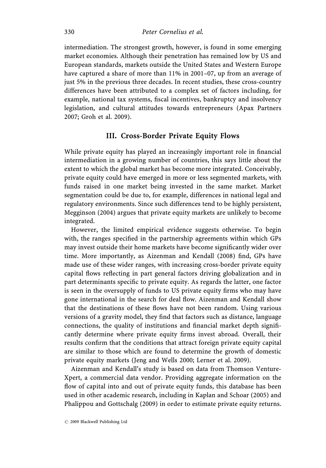intermediation. The strongest growth, however, is found in some emerging market economies. Although their penetration has remained low by US and European standards, markets outside the United States and Western Europe have captured a share of more than 11% in 2001–07, up from an average of just 5% in the previous three decades. In recent studies, these cross-country differences have been attributed to a complex set of factors including, for example, national tax systems, fiscal incentives, bankruptcy and insolvency legislation, and cultural attitudes towards entrepreneurs (Apax Partners 2007; Groh et al. 2009).

# III. Cross-Border Private Equity Flows

While private equity has played an increasingly important role in financial intermediation in a growing number of countries, this says little about the extent to which the global market has become more integrated. Conceivably, private equity could have emerged in more or less segmented markets, with funds raised in one market being invested in the same market. Market segmentation could be due to, for example, differences in national legal and regulatory environments. Since such differences tend to be highly persistent, Megginson (2004) argues that private equity markets are unlikely to become integrated.

However, the limited empirical evidence suggests otherwise. To begin with, the ranges specified in the partnership agreements within which GPs may invest outside their home markets have become significantly wider over time. More importantly, as Aizenman and Kendall (2008) find, GPs have made use of these wider ranges, with increasing cross-border private equity capital flows reflecting in part general factors driving globalization and in part determinants specific to private equity. As regards the latter, one factor is seen in the oversupply of funds to US private equity firms who may have gone international in the search for deal flow. Aizenman and Kendall show that the destinations of these flows have not been random. Using various versions of a gravity model, they find that factors such as distance, language connections, the quality of institutions and financial market depth significantly determine where private equity firms invest abroad. Overall, their results confirm that the conditions that attract foreign private equity capital are similar to those which are found to determine the growth of domestic private equity markets (Jeng and Wells 2000; Lerner et al. 2009).

Aizenman and Kendall's study is based on data from Thomson Venture-Xpert, a commercial data vendor. Providing aggregate information on the flow of capital into and out of private equity funds, this database has been used in other academic research, including in Kaplan and Schoar (2005) and Phalippou and Gottschalg (2009) in order to estimate private equity returns.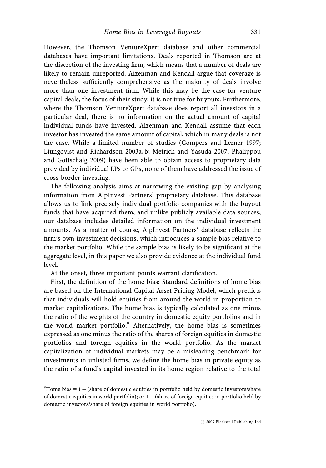However, the Thomson VentureXpert database and other commercial databases have important limitations. Deals reported in Thomson are at the discretion of the investing firm, which means that a number of deals are likely to remain unreported. Aizenman and Kendall argue that coverage is nevertheless sufficiently comprehensive as the majority of deals involve more than one investment firm. While this may be the case for venture capital deals, the focus of their study, it is not true for buyouts. Furthermore, where the Thomson VentureXpert database does report all investors in a particular deal, there is no information on the actual amount of capital individual funds have invested. Aizenman and Kendall assume that each investor has invested the same amount of capital, which in many deals is not the case. While a limited number of studies (Gompers and Lerner 1997; Ljungqvist and Richardson 2003a, b; Metrick and Yasuda 2007; Phalippou and Gottschalg 2009) have been able to obtain access to proprietary data provided by individual LPs or GPs, none of them have addressed the issue of cross-border investing.

The following analysis aims at narrowing the existing gap by analysing information from AlpInvest Partners' proprietary database. This database allows us to link precisely individual portfolio companies with the buyout funds that have acquired them, and unlike publicly available data sources, our database includes detailed information on the individual investment amounts. As a matter of course, AlpInvest Partners' database reflects the firm's own investment decisions, which introduces a sample bias relative to the market portfolio. While the sample bias is likely to be significant at the aggregate level, in this paper we also provide evidence at the individual fund level.

At the onset, three important points warrant clarification.

First, the definition of the home bias: Standard definitions of home bias are based on the International Capital Asset Pricing Model, which predicts that individuals will hold equities from around the world in proportion to market capitalizations. The home bias is typically calculated as one minus the ratio of the weights of the country in domestic equity portfolios and in the world market portfolio.<sup>8</sup> Alternatively, the home bias is sometimes expressed as one minus the ratio of the shares of foreign equities in domestic portfolios and foreign equities in the world portfolio. As the market capitalization of individual markets may be a misleading benchmark for investments in unlisted firms, we define the home bias in private equity as the ratio of a fund's capital invested in its home region relative to the total

 ${}^{8}$ Home bias = 1 – (share of domestic equities in portfolio held by domestic investors/share of domestic equities in world portfolio); or  $1 -$  (share of foreign equities in portfolio held by domestic investors/share of foreign equities in world portfolio).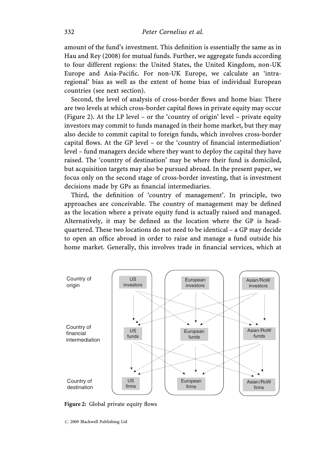amount of the fund's investment. This definition is essentially the same as in Hau and Rey (2008) for mutual funds. Further, we aggregate funds according to four different regions: the United States, the United Kingdom, non-UK Europe and Asia-Pacific. For non-UK Europe, we calculate an 'intraregional' bias as well as the extent of home bias of individual European countries (see next section).

Second, the level of analysis of cross-border flows and home bias: There are two levels at which cross-border capital flows in private equity may occur (Figure 2). At the LP level – or the 'country of origin' level – private equity investors may commit to funds managed in their home market, but they may also decide to commit capital to foreign funds, which involves cross-border capital flows. At the GP level – or the 'country of financial intermediation' level – fund managers decide where they want to deploy the capital they have raised. The 'country of destination' may be where their fund is domiciled, but acquisition targets may also be pursued abroad. In the present paper, we focus only on the second stage of cross-border investing, that is investment decisions made by GPs as financial intermediaries.

Third, the definition of 'country of management'. In principle, two approaches are conceivable. The country of management may be defined as the location where a private equity fund is actually raised and managed. Alternatively, it may be defined as the location where the GP is headquartered. These two locations do not need to be identical – a GP may decide to open an office abroad in order to raise and manage a fund outside his home market. Generally, this involves trade in financial services, which at



Figure 2: Global private equity flows

 $C$  2009 Blackwell Publishing Ltd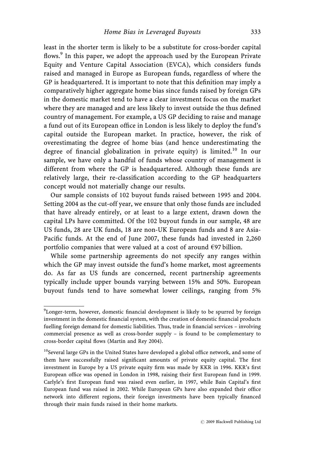least in the shorter term is likely to be a substitute for cross-border capital flows.<sup>9</sup> In this paper, we adopt the approach used by the European Private Equity and Venture Capital Association (EVCA), which considers funds raised and managed in Europe as European funds, regardless of where the GP is headquartered. It is important to note that this definition may imply a comparatively higher aggregate home bias since funds raised by foreign GPs in the domestic market tend to have a clear investment focus on the market where they are managed and are less likely to invest outside the thus defined country of management. For example, a US GP deciding to raise and manage a fund out of its European office in London is less likely to deploy the fund's capital outside the European market. In practice, however, the risk of overestimating the degree of home bias (and hence underestimating the degree of financial globalization in private equity) is limited.<sup>10</sup> In our sample, we have only a handful of funds whose country of management is different from where the GP is headquartered. Although these funds are relatively large, their re-classification according to the GP headquarters concept would not materially change our results.

Our sample consists of 102 buyout funds raised between 1995 and 2004. Setting 2004 as the cut-off year, we ensure that only those funds are included that have already entirely, or at least to a large extent, drawn down the capital LPs have committed. Of the 102 buyout funds in our sample, 48 are US funds, 28 are UK funds, 18 are non-UK European funds and 8 are Asia-Pacific funds. At the end of June 2007, these funds had invested in 2,260 portfolio companies that were valued at a cost of around  $E97$  billion.

While some partnership agreements do not specify any ranges within which the GP may invest outside the fund's home market, most agreements do. As far as US funds are concerned, recent partnership agreements typically include upper bounds varying between 15% and 50%. European buyout funds tend to have somewhat lower ceilings, ranging from 5%

<sup>&</sup>lt;sup>9</sup>Longer-term, however, domestic financial development is likely to be spurred by foreign investment in the domestic financial system, with the creation of domestic financial products fuelling foreign demand for domestic liabilities. Thus, trade in financial services – involving commercial presence as well as cross-border supply – is found to be complementary to cross-border capital flows (Martin and Rey 2004).

 $10$ Several large GPs in the United States have developed a global office network, and some of them have successfully raised significant amounts of private equity capital. The first investment in Europe by a US private equity firm was made by KKR in 1996. KKR's first European office was opened in London in 1998, raising their first European fund in 1999. Carlyle's first European fund was raised even earlier, in 1997, while Bain Capital's first European fund was raised in 2002. While European GPs have also expanded their office network into different regions, their foreign investments have been typically financed through their main funds raised in their home markets.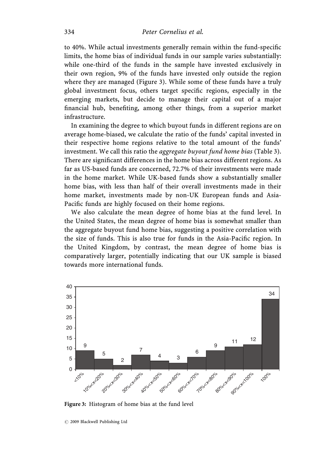to 40%. While actual investments generally remain within the fund-specific limits, the home bias of individual funds in our sample varies substantially: while one-third of the funds in the sample have invested exclusively in their own region, 9% of the funds have invested only outside the region where they are managed (Figure 3). While some of these funds have a truly global investment focus, others target specific regions, especially in the emerging markets, but decide to manage their capital out of a major financial hub, benefiting, among other things, from a superior market infrastructure.

In examining the degree to which buyout funds in different regions are on average home-biased, we calculate the ratio of the funds' capital invested in their respective home regions relative to the total amount of the funds' investment. We call this ratio the aggregate buyout fund home bias (Table 3). There are significant differences in the home bias across different regions. As far as US-based funds are concerned, 72.7% of their investments were made in the home market. While UK-based funds show a substantially smaller home bias, with less than half of their overall investments made in their home market, investments made by non-UK European funds and Asia-Pacific funds are highly focused on their home regions.

We also calculate the mean degree of home bias at the fund level. In the United States, the mean degree of home bias is somewhat smaller than the aggregate buyout fund home bias, suggesting a positive correlation with the size of funds. This is also true for funds in the Asia-Pacific region. In the United Kingdom, by contrast, the mean degree of home bias is comparatively larger, potentially indicating that our UK sample is biased towards more international funds.



Figure 3: Histogram of home bias at the fund level

 $C$  2009 Blackwell Publishing Ltd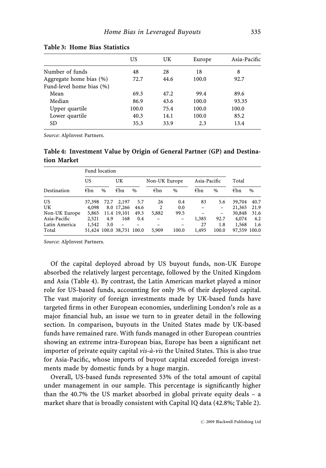|                                                     | US    | UK   | Europe | Asia-Pacific |
|-----------------------------------------------------|-------|------|--------|--------------|
| Number of funds                                     | 48    | 28   | 18     | 8            |
| Aggregate home bias (%)<br>Fund-level home bias (%) | 72.7  | 44.6 | 100.0  | 92.7         |
| Mean                                                | 69.3  | 47.2 | 99.4   | 89.6         |
| Median                                              | 86.9  | 43.6 | 100.0  | 93.35        |
| Upper quartile                                      | 100.0 | 75.4 | 100.0  | 100.0        |
| Lower quartile                                      | 40.3  | 14.1 | 100.0  | 85.2         |
| <b>SD</b>                                           | 35.3  | 33.9 | 2.3    | 13.4         |

#### Table 3: Home Bias Statistics

Source: AlpInvest Partners.

Table 4: Investment Value by Origin of General Partner (GP) and Destination Market

|               | Fund location |      |                           |               |               |       |               |       |               |               |
|---------------|---------------|------|---------------------------|---------------|---------------|-------|---------------|-------|---------------|---------------|
|               | US            |      | UK                        |               | Non-UK Europe |       | Asia-Pacific  |       | Total         |               |
| Destination   | $\epsilon$ bn | $\%$ | $\epsilon$ bn             | $\frac{0}{0}$ | $\epsilon$ bn | $\%$  | $\epsilon$ bn | $\%$  | $\epsilon$ bn | $\frac{0}{0}$ |
| US            | 37,398        |      | 72.7 2,197                | 5.7           | 26            | 0.4   | 83            | 5.6   | 39,704        | 40.7          |
| UK            | 4,098         |      | 8.0 17,266                | 44.6          | 2             | 0.0   |               | -     | 21,365        | 21.9          |
| Non-UK Europe | 5,865         |      | 11.4 19,101               | 49.3          | 5,882         | 99.5  |               | -     | 30,848        | 31.6          |
| Asia-Pacific  | 2,521         | 4.9  | 168                       | 0.4           |               | -     | 1,385         | 92.7  | 4,074         | 4.2           |
| Latin America | 1,542         | 3.0  | -                         |               |               |       | 27            | 1.8   | 1,568         | 1.6           |
| Total         |               |      | 51,424 100.0 38,731 100.0 |               | 5,909         | 100.0 | 1,495         | 100.0 | 97,559 100.0  |               |

Source: AlpInvest Partners.

Of the capital deployed abroad by US buyout funds, non-UK Europe absorbed the relatively largest percentage, followed by the United Kingdom and Asia (Table 4). By contrast, the Latin American market played a minor role for US-based funds, accounting for only 3% of their deployed capital. The vast majority of foreign investments made by UK-based funds have targeted firms in other European economies, underlining London's role as a major financial hub, an issue we turn to in greater detail in the following section. In comparison, buyouts in the United States made by UK-based funds have remained rare. With funds managed in other European countries showing an extreme intra-European bias, Europe has been a significant net importer of private equity capital vis-à-vis the United States. This is also true for Asia-Pacific, whose imports of buyout capital exceeded foreign investments made by domestic funds by a huge margin.

Overall, US-based funds represented 53% of the total amount of capital under management in our sample. This percentage is significantly higher than the 40.7% the US market absorbed in global private equity deals – a market share that is broadly consistent with Capital IQ data (42.8%; Table 2).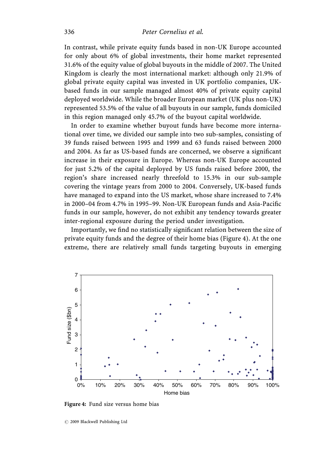In contrast, while private equity funds based in non-UK Europe accounted for only about 6% of global investments, their home market represented 31.6% of the equity value of global buyouts in the middle of 2007. The United Kingdom is clearly the most international market: although only 21.9% of global private equity capital was invested in UK portfolio companies, UKbased funds in our sample managed almost 40% of private equity capital deployed worldwide. While the broader European market (UK plus non-UK) represented 53.5% of the value of all buyouts in our sample, funds domiciled in this region managed only 45.7% of the buyout capital worldwide.

In order to examine whether buyout funds have become more international over time, we divided our sample into two sub-samples, consisting of 39 funds raised between 1995 and 1999 and 63 funds raised between 2000 and 2004. As far as US-based funds are concerned, we observe a significant increase in their exposure in Europe. Whereas non-UK Europe accounted for just 5.2% of the capital deployed by US funds raised before 2000, the region's share increased nearly threefold to 15.3% in our sub-sample covering the vintage years from 2000 to 2004. Conversely, UK-based funds have managed to expand into the US market, whose share increased to 7.4% in 2000–04 from 4.7% in 1995–99. Non-UK European funds and Asia-Pacific funds in our sample, however, do not exhibit any tendency towards greater inter-regional exposure during the period under investigation.

Importantly, we find no statistically significant relation between the size of private equity funds and the degree of their home bias (Figure 4). At the one extreme, there are relatively small funds targeting buyouts in emerging



Figure 4: Fund size versus home bias

 $C$  2009 Blackwell Publishing Ltd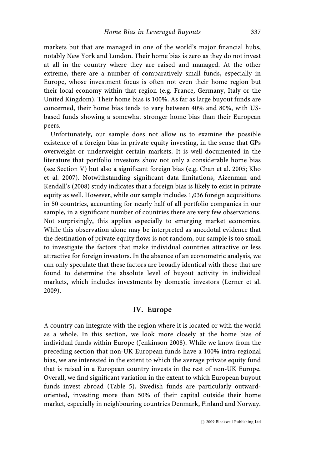markets but that are managed in one of the world's major financial hubs, notably New York and London. Their home bias is zero as they do not invest at all in the country where they are raised and managed. At the other extreme, there are a number of comparatively small funds, especially in Europe, whose investment focus is often not even their home region but their local economy within that region (e.g. France, Germany, Italy or the United Kingdom). Their home bias is 100%. As far as large buyout funds are concerned, their home bias tends to vary between 40% and 80%, with USbased funds showing a somewhat stronger home bias than their European peers.

Unfortunately, our sample does not allow us to examine the possible existence of a foreign bias in private equity investing, in the sense that GPs overweight or underweight certain markets. It is well documented in the literature that portfolio investors show not only a considerable home bias (see Section V) but also a significant foreign bias (e.g. Chan et al. 2005; Kho et al. 2007). Notwithstanding significant data limitations, Aizenman and Kendall's (2008) study indicates that a foreign bias is likely to exist in private equity as well. However, while our sample includes 1,036 foreign acquisitions in 50 countries, accounting for nearly half of all portfolio companies in our sample, in a significant number of countries there are very few observations. Not surprisingly, this applies especially to emerging market economies. While this observation alone may be interpreted as anecdotal evidence that the destination of private equity flows is not random, our sample is too small to investigate the factors that make individual countries attractive or less attractive for foreign investors. In the absence of an econometric analysis, we can only speculate that these factors are broadly identical with those that are found to determine the absolute level of buyout activity in individual markets, which includes investments by domestic investors (Lerner et al. 2009).

# IV. Europe

A country can integrate with the region where it is located or with the world as a whole. In this section, we look more closely at the home bias of individual funds within Europe (Jenkinson 2008). While we know from the preceding section that non-UK European funds have a 100% intra-regional bias, we are interested in the extent to which the average private equity fund that is raised in a European country invests in the rest of non-UK Europe. Overall, we find significant variation in the extent to which European buyout funds invest abroad (Table 5). Swedish funds are particularly outwardoriented, investing more than 50% of their capital outside their home market, especially in neighbouring countries Denmark, Finland and Norway.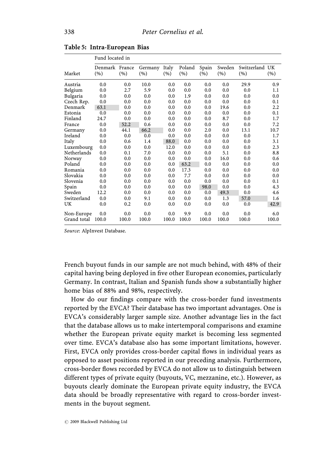|             | Fund located in       |       |                |              |               |              |               |                       |       |
|-------------|-----------------------|-------|----------------|--------------|---------------|--------------|---------------|-----------------------|-------|
| Market      | Denmark France<br>(%) | (%)   | Germany<br>(%) | Italy<br>(%) | Poland<br>(%) | Spain<br>(%) | Sweden<br>(%) | Switzerland UK<br>(%) | (%)   |
| Austria     | 0.0                   | 0.0   | 10.0           | 0.0          | 0.0           | 0.0          | 0.0           | 29.9                  | 0.9   |
| Belgium     | 0.0                   | 2.7   | 5.9            | 0.0          | 0.0           | 0.0          | 0.0           | 0.0                   | 1.1   |
| Bulgaria    | 0.0                   | 0.0   | 0.0            | 0.0          | 1.9           | 0.0          | 0.0           | 0.0                   | 0.0   |
| Czech Rep.  | 0.0                   | 0.0   | 0.0            | 0.0          | 0.0           | 0.0          | 0.0           | 0.0                   | 0.1   |
| Denmark     | 63.1                  | 0.0   | 0.0            | 0.0          | 0.0           | 0.0          | 19.6          | 0.0                   | 2.2   |
| Estonia     | 0.0                   | 0.0   | 0.0            | 0.0          | 0.0           | 0.0          | 0.0           | 0.0                   | 0.1   |
| Finland     | 24.7                  | 0.0   | 0.0            | 0.0          | 0.0           | 0.0          | 8.7           | 0.0                   | 1.7   |
| France      | 0.0                   | 52.2  | 0.6            | 0.0          | 0.0           | 0.0          | 0.0           | 0.0                   | 7.2   |
| Germany     | 0.0                   | 44.1  | 66.2           | 0.0          | 0.0           | 2.0          | 0.0           | 13.1                  | 10.7  |
| Ireland     | 0.0                   | 0.0   | 0.0            | 0.0          | 0.0           | 0.0          | 0.0           | 0.0                   | 1.7   |
| Italy       | 0.0                   | 0.6   | 1.4            | 88.0         | 0.0           | 0.0          | 0.0           | 0.0                   | 3.1   |
| Luxembourg  | 0.0                   | 0.0   | 0.0            | 12.0         | 0.0           | 0.0          | 0.0           | 0.0                   | 2.3   |
| Netherlands | 0.0                   | 0.1   | 7.0            | 0.0          | 0.0           | 0.0          | 5.1           | 0.0                   | 8.8   |
| Norway      | 0.0                   | 0.0   | 0.0            | 0.0          | 0.0           | 0.0          | 16.0          | 0.0                   | 0.6   |
| Poland      | 0.0                   | 0.0   | 0.0            | 0.0          | 63.2          | 0.0          | 0.0           | 0.0                   | 0.0   |
| Romania     | 0.0                   | 0.0   | 0.0            | 0.0          | 17.3          | 0.0          | 0.0           | 0.0                   | 0.0   |
| Slovakia    | 0.0                   | 0.0   | 0.0            | 0.0          | 7.7           | 0.0          | 0.0           | 0.0                   | 0.0   |
| Slovenia    | 0.0                   | 0.0   | 0.0            | 0.0          | 0.0           | 0.0          | 0.0           | 0.0                   | 0.1   |
| Spain       | 0.0                   | 0.0   | 0.0            | 0.0          | 0.0           | 98.0         | 0.0           | 0.0                   | 4.3   |
| Sweden      | 12.2                  | 0.0   | 0.0            | 0.0          | 0.0           | 0.0          | 49.3          | 0.0                   | 4.6   |
| Switzerland | 0.0                   | 0.0   | 9.1            | 0.0          | 0.0           | 0.0          | 1.3           | 57.0                  | 1.6   |
| UK          | 0.0                   | 0.2   | 0.0            | 0.0          | 0.0           | 0.0          | 0.0           | 0.0                   | 42.9  |
| Non-Europe  | 0.0                   | 0.0   | 0.0            | 0.0          | 9.9           | 0.0          | 0.0           | 0.0                   | 6.0   |
| Grand total | 100.0                 | 100.0 | 100.0          | 100.0        | 100.0         | 100.0        | 100.0         | 100.0                 | 100.0 |

Table 5: Intra-European Bias

Source: AlpInvest Database.

French buyout funds in our sample are not much behind, with 48% of their capital having being deployed in five other European economies, particularly Germany. In contrast, Italian and Spanish funds show a substantially higher home bias of 88% and 98%, respectively.

How do our findings compare with the cross-border fund investments reported by the EVCA? Their database has two important advantages. One is EVCA's considerably larger sample size. Another advantage lies in the fact that the database allows us to make intertemporal comparisons and examine whether the European private equity market is becoming less segmented over time. EVCA's database also has some important limitations, however. First, EVCA only provides cross-border capital flows in individual years as opposed to asset positions reported in our preceding analysis. Furthermore, cross-border flows recorded by EVCA do not allow us to distinguish between different types of private equity (buyouts, VC, mezzanine, etc.). However, as buyouts clearly dominate the European private equity industry, the EVCA data should be broadly representative with regard to cross-border investments in the buyout segment.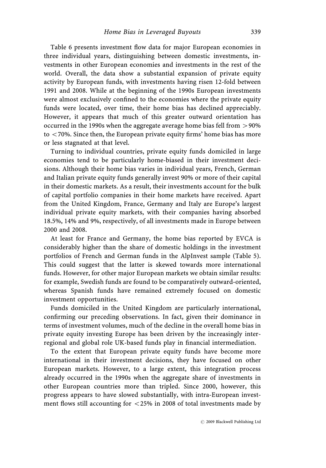Table 6 presents investment flow data for major European economies in three individual years, distinguishing between domestic investments, investments in other European economies and investments in the rest of the world. Overall, the data show a substantial expansion of private equity activity by European funds, with investments having risen 12-fold between 1991 and 2008. While at the beginning of the 1990s European investments were almost exclusively confined to the economies where the private equity funds were located, over time, their home bias has declined appreciably. However, it appears that much of this greater outward orientation has occurred in the 1990s when the aggregate average home bias fell from  $>90\%$ to  $<$  70%. Since then, the European private equity firms' home bias has more or less stagnated at that level.

Turning to individual countries, private equity funds domiciled in large economies tend to be particularly home-biased in their investment decisions. Although their home bias varies in individual years, French, German and Italian private equity funds generally invest 90% or more of their capital in their domestic markets. As a result, their investments account for the bulk of capital portfolio companies in their home markets have received. Apart from the United Kingdom, France, Germany and Italy are Europe's largest individual private equity markets, with their companies having absorbed 18.5%, 14% and 9%, respectively, of all investments made in Europe between 2000 and 2008.

At least for France and Germany, the home bias reported by EVCA is considerably higher than the share of domestic holdings in the investment portfolios of French and German funds in the AlpInvest sample (Table 5). This could suggest that the latter is skewed towards more international funds. However, for other major European markets we obtain similar results: for example, Swedish funds are found to be comparatively outward-oriented, whereas Spanish funds have remained extremely focused on domestic investment opportunities.

Funds domiciled in the United Kingdom are particularly international, confirming our preceding observations. In fact, given their dominance in terms of investment volumes, much of the decline in the overall home bias in private equity investing Europe has been driven by the increasingly interregional and global role UK-based funds play in financial intermediation.

To the extent that European private equity funds have become more international in their investment decisions, they have focused on other European markets. However, to a large extent, this integration process already occurred in the 1990s when the aggregate share of investments in other European countries more than tripled. Since 2000, however, this progress appears to have slowed substantially, with intra-European investment flows still accounting for  $<$  25% in 2008 of total investments made by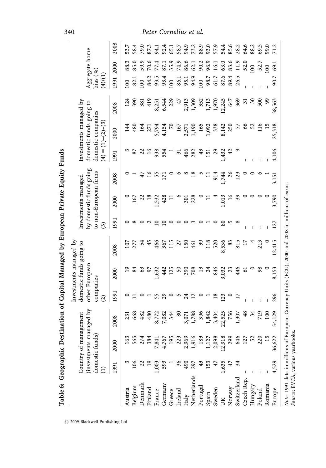| Table 6: Geographic D                                                                                                                 |                                             |                                                         |                      |                            |                                                                     | estination of Capital Managed by European Private Equity Funds |                  |                                                                         |               |                   |                                                                                                |                 |                       |                |              |
|---------------------------------------------------------------------------------------------------------------------------------------|---------------------------------------------|---------------------------------------------------------|----------------------|----------------------------|---------------------------------------------------------------------|----------------------------------------------------------------|------------------|-------------------------------------------------------------------------|---------------|-------------------|------------------------------------------------------------------------------------------------|-----------------|-----------------------|----------------|--------------|
|                                                                                                                                       | (investments<br>domestic fun<br>$\bigoplus$ | Country of management<br>ds)                            | managed by           | companies<br>$\widehat{c}$ | Investments managed by<br>domestic funds going to<br>other European |                                                                | $\widehat{c}$    | by domestic funds going<br>to non-European firms<br>Investments managed |               |                   | Investments managed by<br>domestic funds going to<br>domestic companies<br>$(4) = (1)-(2)-(3)$ |                 | bias $(%)$<br>(4)/(1) | Aggregate home |              |
|                                                                                                                                       | 1991                                        | 2000                                                    | 2008                 | 1991                       | 2000                                                                | 2008                                                           | 1991             | 2000                                                                    | 2008          | 1991              | 2000                                                                                           | 2008            | 1991                  | 2000           | 2008         |
| Austria                                                                                                                               |                                             | 63                                                      | 23                   |                            |                                                                     | $\overline{107}$                                               |                  |                                                                         |               |                   | 144                                                                                            | 124             | $\overline{00}$       | 88.3           | 53.7         |
| Belgium                                                                                                                               | 106                                         | 65                                                      | 668                  |                            |                                                                     | 277                                                            | $^{\circ}$       |                                                                         |               | 87                | 480                                                                                            | 390             | 82.1                  | 85.0           | 58.4         |
| Denmark                                                                                                                               |                                             | $\overline{74}$                                         | 482                  |                            | 63                                                                  | 54                                                             | $\circ$          | $167$<br>$22$<br>$18$                                                   | 47            | $\overline{c}$    | 164                                                                                            | 381             | $\infty$              | 59.9           | 79.0         |
| Finland                                                                                                                               |                                             | -84                                                     | 480                  |                            | $\mathcal{E}$                                                       | 45                                                             | $\sim$           |                                                                         | $\frac{8}{1}$ | 16                | 271                                                                                            | 419             | 84.2                  | 70.6           | 87.3         |
| France                                                                                                                                | 1,003                                       | 7,841                                                   | 8,772                | 55                         | 1,632                                                               | 466                                                            | ≘                |                                                                         | 55<br>171     | 938<br>554        | 5,794<br>4,154                                                                                 | 8,251           | 93.5<br>93.4          | 77.4           | 94.1         |
| Germany                                                                                                                               | 593                                         | 4,767                                                   | 7,082                | 29                         | 442                                                                 | 367                                                            | $\Xi$            | 1,532<br>428                                                            |               |                   |                                                                                                | 6,544           |                       | 87.1           | 92.4         |
| Greece                                                                                                                                |                                             | 95                                                      | 344                  |                            | 125                                                                 | 115                                                            | $\circ$          |                                                                         |               |                   | $\mathbb{R}$                                                                                   | 229             | $\overline{00}$       | 35.9           | 65.1         |
| Ireland                                                                                                                               |                                             |                                                         | 80                   | r.                         | 50                                                                  | $\overline{27}$                                                | $\circ$          |                                                                         | ∘             | $\frac{1}{2}$     | 167                                                                                            | 47              | 86.1                  | 74.9           | 58.7         |
| Italy                                                                                                                                 | $\mathbb{S}^4$                              | 2,9                                                     | 3,071                | 24                         |                                                                     | 150                                                            | $\circ$          | 501                                                                     | $\infty$      |                   |                                                                                                | 2,913           | 95.1                  | 86.6           | 94.9         |
| Netherlands                                                                                                                           |                                             | 2,969<br>1,916<br>183                                   | 1,788                | 12                         | 390<br>708                                                          | 461                                                            | $\omega$ $\circ$ | 228                                                                     |               | $\frac{466}{282}$ | 2,571<br>1,190                                                                                 | 1,309           | 94.9                  | 62.1           | 73.2<br>88.9 |
| Portugal                                                                                                                              |                                             |                                                         | 396                  |                            | 13                                                                  | $\mathbf{39}$                                                  |                  |                                                                         |               |                   |                                                                                                |                 | $\overline{00}$       | 90.2           |              |
| Spain                                                                                                                                 | 153                                         | 1,1                                                     | 1,842                |                            | $\overline{c}$                                                      | 118                                                            |                  |                                                                         | $\Box$        | $43$<br>151       | $\frac{165}{1,092}$<br>338<br>8,142                                                            | 352<br>1,713    | 98.7                  | 96.9           | 93.0         |
| Sweden                                                                                                                                | 47                                          |                                                         | 3,404                | 18                         | 846                                                                 | 520                                                            | $\circ$          |                                                                         | 914           | $^{29}$           |                                                                                                | 1,970           | 61.7                  | 16.1           | 57.9         |
| UК                                                                                                                                    | 1,635                                       | $\begin{array}{c} 1,127 \\ 2,098 \\ 12,918 \end{array}$ | 22,525               | 123                        | 3,032                                                               | 8,536                                                          | $80\,$           | 1,013                                                                   | 1,744         | 1,432             |                                                                                                | 12,245          | 87.6                  | 63.0           | 54.4         |
| Norway                                                                                                                                | 47                                          | 299                                                     | 756                  |                            | $\tilde{\mathcal{L}}$                                               | 83                                                             | w                | $16$<br>39                                                              | 26            | $\frac{1}{4}$     | 250                                                                                            | 647             | 89.4                  | 83.6           | 85.6         |
| Switzerland                                                                                                                           | 34                                          | 646                                                     | 1,307                | $\overline{17}$            | 446                                                                 | 815                                                            | $^{\circ}$       |                                                                         | 123           |                   | K                                                                                              | 369             | 26.5                  | 11.9           | 28.2         |
| Czech Rep.                                                                                                                            |                                             |                                                         |                      |                            | $\overline{6}$                                                      | $\overline{17}$                                                |                  |                                                                         |               |                   | 8 Y                                                                                            | $\frac{31}{20}$ |                       | 52.0           | 64.6         |
| Hungary                                                                                                                               |                                             |                                                         | $48$<br>$77$<br>$79$ |                            | $\circ$                                                             |                                                                | I                |                                                                         |               |                   |                                                                                                |                 |                       | $\overline{0}$ | 88.2         |
| Poland                                                                                                                                |                                             | $127$ 320 15                                            |                      |                            | 98                                                                  | 213                                                            |                  |                                                                         |               |                   | 116                                                                                            | 500             |                       | 52.7           | 69.5         |
| Romania                                                                                                                               |                                             |                                                         | 100                  |                            |                                                                     |                                                                |                  |                                                                         |               |                   |                                                                                                | 9Q              |                       | $\overline{0}$ | 99.0         |
| Europe                                                                                                                                | 4,529                                       | 36,622                                                  | 54,129               | 296                        | 8,153                                                               | 12,415                                                         | 127              | 3,790                                                                   | 3,151         | 4,106             | 25,318                                                                                         | 38,563          | 90.7                  | 69.1           | 71.2         |
| Note: 1991 data in millions of European Currency Units (ECU); 2000 and 2008 in millions of euros.<br>Source: EVCA, various yearbooks. |                                             |                                                         |                      |                            |                                                                     |                                                                |                  |                                                                         |               |                   |                                                                                                |                 |                       |                |              |

Table 6: Geographic Destination of Capital Managed by European Private Equity Funds

 $O$  2009 Blackwell Publishing Ltd

# 340 Peter Cornelius et al.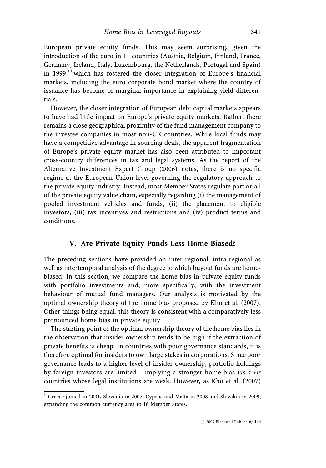European private equity funds. This may seem surprising, given the introduction of the euro in 11 countries (Austria, Belgium, Finland, France, Germany, Ireland, Italy, Luxembourg, the Netherlands, Portugal and Spain) in 1999, $<sup>11</sup>$  which has fostered the closer integration of Europe's financial</sup> markets, including the euro corporate bond market where the country of issuance has become of marginal importance in explaining yield differentials.

However, the closer integration of European debt capital markets appears to have had little impact on Europe's private equity markets. Rather, there remains a close geographical proximity of the fund management company to the investee companies in most non-UK countries. While local funds may have a competitive advantage in sourcing deals, the apparent fragmentation of Europe's private equity market has also been attributed to important cross-country differences in tax and legal systems. As the report of the Alternative Investment Expert Group (2006) notes, there is no specific regime at the European Union level governing the regulatory approach to the private equity industry. Instead, most Member States regulate part or all of the private equity value chain, especially regarding (i) the management of pooled investment vehicles and funds, (ii) the placement to eligible investors, (iii) tax incentives and restrictions and (iv) product terms and conditions.

# V. Are Private Equity Funds Less Home-Biased?

The preceding sections have provided an inter-regional, intra-regional as well as intertemporal analysis of the degree to which buyout funds are homebiased. In this section, we compare the home bias in private equity funds with portfolio investments and, more specifically, with the investment behaviour of mutual fund managers. Our analysis is motivated by the optimal ownership theory of the home bias proposed by Kho et al. (2007). Other things being equal, this theory is consistent with a comparatively less pronounced home bias in private equity.

The starting point of the optimal ownership theory of the home bias lies in the observation that insider ownership tends to be high if the extraction of private benefits is cheap. In countries with poor governance standards, it is therefore optimal for insiders to own large stakes in corporations. Since poor governance leads to a higher level of insider ownership, portfolio holdings by foreign investors are limited – implying a stronger home bias  $vis-\hat{a}-vis$ countries whose legal institutions are weak. However, as Kho et al. (2007)

 $11$ Greece joined in 2001, Slovenia in 2007, Cyprus and Malta in 2008 and Slovakia in 2009, expanding the common currency area to 16 Member States.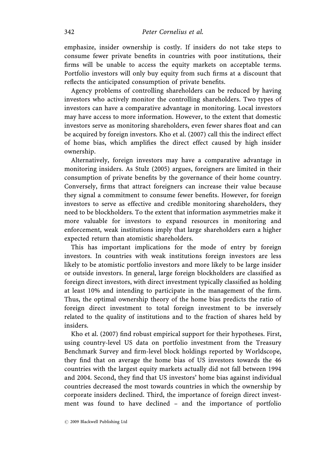emphasize, insider ownership is costly. If insiders do not take steps to consume fewer private benefits in countries with poor institutions, their firms will be unable to access the equity markets on acceptable terms. Portfolio investors will only buy equity from such firms at a discount that reflects the anticipated consumption of private benefits.

Agency problems of controlling shareholders can be reduced by having investors who actively monitor the controlling shareholders. Two types of investors can have a comparative advantage in monitoring. Local investors may have access to more information. However, to the extent that domestic investors serve as monitoring shareholders, even fewer shares float and can be acquired by foreign investors. Kho et al. (2007) call this the indirect effect of home bias, which amplifies the direct effect caused by high insider ownership.

Alternatively, foreign investors may have a comparative advantage in monitoring insiders. As Stulz (2005) argues, foreigners are limited in their consumption of private benefits by the governance of their home country. Conversely, firms that attract foreigners can increase their value because they signal a commitment to consume fewer benefits. However, for foreign investors to serve as effective and credible monitoring shareholders, they need to be blockholders. To the extent that information asymmetries make it more valuable for investors to expand resources in monitoring and enforcement, weak institutions imply that large shareholders earn a higher expected return than atomistic shareholders.

This has important implications for the mode of entry by foreign investors. In countries with weak institutions foreign investors are less likely to be atomistic portfolio investors and more likely to be large insider or outside investors. In general, large foreign blockholders are classified as foreign direct investors, with direct investment typically classified as holding at least 10% and intending to participate in the management of the firm. Thus, the optimal ownership theory of the home bias predicts the ratio of foreign direct investment to total foreign investment to be inversely related to the quality of institutions and to the fraction of shares held by insiders.

Kho et al. (2007) find robust empirical support for their hypotheses. First, using country-level US data on portfolio investment from the Treasury Benchmark Survey and firm-level block holdings reported by Worldscope, they find that on average the home bias of US investors towards the 46 countries with the largest equity markets actually did not fall between 1994 and 2004. Second, they find that US investors' home bias against individual countries decreased the most towards countries in which the ownership by corporate insiders declined. Third, the importance of foreign direct investment was found to have declined – and the importance of portfolio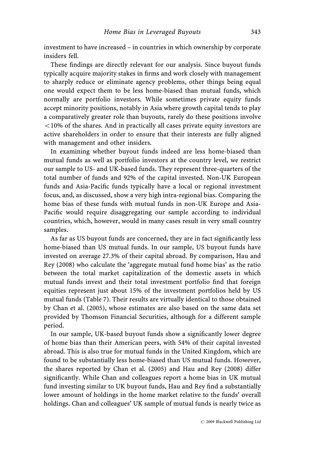investment to have increased – in countries in which ownership by corporate insiders fell.

These findings are directly relevant for our analysis. Since buyout funds typically acquire majority stakes in firms and work closely with management to sharply reduce or eliminate agency problems, other things being equal one would expect them to be less home-biased than mutual funds, which normally are portfolio investors. While sometimes private equity funds accept minority positions, notably in Asia where growth capital tends to play a comparatively greater role than buyouts, rarely do these positions involve  $10\%$  of the shares. And in practically all cases private equity investors are active shareholders in order to ensure that their interests are fully aligned with management and other insiders.

In examining whether buyout funds indeed are less home-biased than mutual funds as well as portfolio investors at the country level, we restrict our sample to US- and UK-based funds. They represent three-quarters of the total number of funds and 92% of the capital invested. Non-UK European funds and Asia-Pacific funds typically have a local or regional investment focus, and, as discussed, show a very high intra-regional bias. Comparing the home bias of these funds with mutual funds in non-UK Europe and Asia-Pacific would require disaggregating our sample according to individual countries, which, however, would in many cases result in very small country samples.

As far as US buyout funds are concerned, they are in fact significantly less home-biased than US mutual funds. In our sample, US buyout funds have invested on average 27.3% of their capital abroad. By comparison, Hau and Rey (2008) who calculate the 'aggregate mutual fund home bias' as the ratio between the total market capitalization of the domestic assets in which mutual funds invest and their total investment portfolio find that foreign equities represent just about 15% of the investment portfolios held by US mutual funds (Table 7). Their results are virtually identical to those obtained by Chan et al. (2005), whose estimates are also based on the same data set provided by Thomson Financial Securities, although for a different sample period.

In our sample, UK-based buyout funds show a significantly lower degree of home bias than their American peers, with 54% of their capital invested abroad. This is also true for mutual funds in the United Kingdom, which are found to be substantially less home-biased than US mutual funds. However, the shares reported by Chan et al. (2005) and Hau and Rey (2008) differ significantly. While Chan and colleagues report a home bias in UK mutual fund investing similar to UK buyout funds, Hau and Rey find a substantially lower amount of holdings in the home market relative to the funds' overall holdings. Chan and colleagues' UK sample of mutual funds is nearly twice as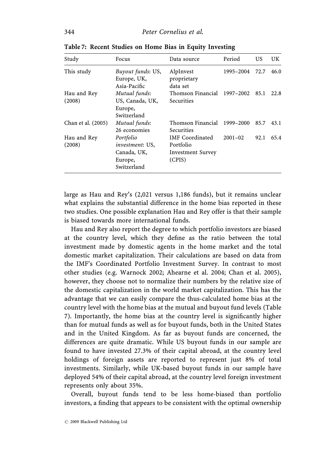| Study                 | Focus                                                                         | Data source                                                               | Period      | US   | UK   |
|-----------------------|-------------------------------------------------------------------------------|---------------------------------------------------------------------------|-------------|------|------|
| This study            | <i>Buyout funds: US,</i><br>Europe, UK,<br>Asia-Pacific                       | AlpInvest<br>proprietary<br>data set                                      | 1995-2004   | 72.7 | 46.0 |
| Hau and Rey<br>(2008) | Mutual funds:<br>US, Canada, UK,<br>Europe,<br>Switzerland                    | Thomson Financial 1997-2002<br>Securities                                 |             | 85.1 | 22.8 |
| Chan et al. (2005)    | Mutual funds:<br>26 economies                                                 | Thomson Financial<br>Securities                                           | 1999-2000   | 85.7 | 43.1 |
| Hau and Rey<br>(2008) | Portfolio<br><i>investment</i> : US,<br>Canada, UK,<br>Europe,<br>Switzerland | <b>IMF</b> Coordinated<br>Portfolio<br><b>Investment Survey</b><br>(CPIS) | $2001 - 02$ | 92.1 | 65.4 |

Table 7: Recent Studies on Home Bias in Equity Investing

large as Hau and Rey's (2,021 versus 1,186 funds), but it remains unclear what explains the substantial difference in the home bias reported in these two studies. One possible explanation Hau and Rey offer is that their sample is biased towards more international funds.

Hau and Rey also report the degree to which portfolio investors are biased at the country level, which they define as the ratio between the total investment made by domestic agents in the home market and the total domestic market capitalization. Their calculations are based on data from the IMF's Coordinated Portfolio Investment Survey. In contrast to most other studies (e.g. Warnock 2002; Ahearne et al. 2004; Chan et al. 2005), however, they choose not to normalize their numbers by the relative size of the domestic capitalization in the world market capitalization. This has the advantage that we can easily compare the thus-calculated home bias at the country level with the home bias at the mutual and buyout fund levels (Table 7). Importantly, the home bias at the country level is significantly higher than for mutual funds as well as for buyout funds, both in the United States and in the United Kingdom. As far as buyout funds are concerned, the differences are quite dramatic. While US buyout funds in our sample are found to have invested 27.3% of their capital abroad, at the country level holdings of foreign assets are reported to represent just 8% of total investments. Similarly, while UK-based buyout funds in our sample have deployed 54% of their capital abroad, at the country level foreign investment represents only about 35%.

Overall, buyout funds tend to be less home-biased than portfolio investors, a finding that appears to be consistent with the optimal ownership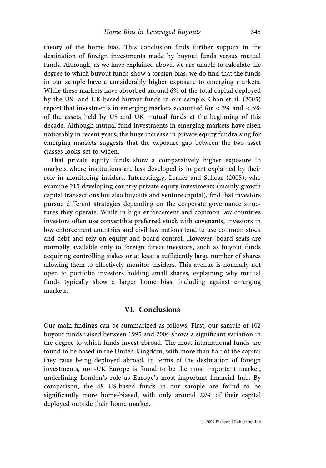theory of the home bias. This conclusion finds further support in the destination of foreign investments made by buyout funds versus mutual funds. Although, as we have explained above, we are unable to calculate the degree to which buyout funds show a foreign bias, we do find that the funds in our sample have a considerably higher exposure to emerging markets. While these markets have absorbed around 6% of the total capital deployed by the US- and UK-based buyout funds in our sample, Chan et al. (2005) report that investments in emerging markets accounted for  $\langle 3\% \rangle$  and  $\langle 5\% \rangle$ of the assets held by US and UK mutual funds at the beginning of this decade. Although mutual fund investments in emerging markets have risen noticeably in recent years, the huge increase in private equity fundraising for emerging markets suggests that the exposure gap between the two asset classes looks set to widen.

That private equity funds show a comparatively higher exposure to markets where institutions are less developed is in part explained by their role in monitoring insiders. Interestingly, Lerner and Schoar (2005), who examine 210 developing country private equity investments (mainly growth capital transactions but also buyouts and venture capital), find that investors pursue different strategies depending on the corporate governance structures they operate. While in high enforcement and common law countries investors often use convertible preferred stock with covenants, investors in low enforcement countries and civil law nations tend to use common stock and debt and rely on equity and board control. However, board seats are normally available only to foreign direct investors, such as buyout funds acquiring controlling stakes or at least a sufficiently large number of shares allowing them to effectively monitor insiders. This avenue is normally not open to portfolio investors holding small shares, explaining why mutual funds typically show a larger home bias, including against emerging markets.

# VI. Conclusions

Our main findings can be summarized as follows. First, our sample of 102 buyout funds raised between 1995 and 2004 shows a significant variation in the degree to which funds invest abroad. The most international funds are found to be based in the United Kingdom, with more than half of the capital they raise being deployed abroad. In terms of the destination of foreign investments, non-UK Europe is found to be the most important market, underlining London's role as Europe's most important financial hub. By comparison, the 48 US-based funds in our sample are found to be significantly more home-biased, with only around 22% of their capital deployed outside their home market.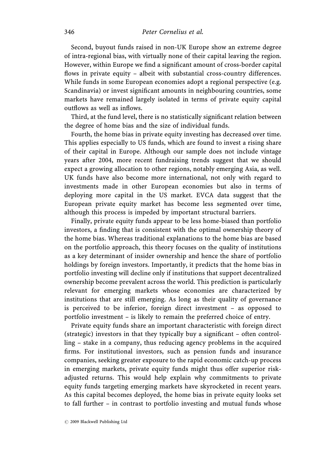Second, buyout funds raised in non-UK Europe show an extreme degree of intra-regional bias, with virtually none of their capital leaving the region. However, within Europe we find a significant amount of cross-border capital flows in private equity – albeit with substantial cross-country differences. While funds in some European economies adopt a regional perspective (e.g. Scandinavia) or invest significant amounts in neighbouring countries, some markets have remained largely isolated in terms of private equity capital outflows as well as inflows.

Third, at the fund level, there is no statistically significant relation between the degree of home bias and the size of individual funds.

Fourth, the home bias in private equity investing has decreased over time. This applies especially to US funds, which are found to invest a rising share of their capital in Europe. Although our sample does not include vintage years after 2004, more recent fundraising trends suggest that we should expect a growing allocation to other regions, notably emerging Asia, as well. UK funds have also become more international, not only with regard to investments made in other European economies but also in terms of deploying more capital in the US market. EVCA data suggest that the European private equity market has become less segmented over time, although this process is impeded by important structural barriers.

Finally, private equity funds appear to be less home-biased than portfolio investors, a finding that is consistent with the optimal ownership theory of the home bias. Whereas traditional explanations to the home bias are based on the portfolio approach, this theory focuses on the quality of institutions as a key determinant of insider ownership and hence the share of portfolio holdings by foreign investors. Importantly, it predicts that the home bias in portfolio investing will decline only if institutions that support decentralized ownership become prevalent across the world. This prediction is particularly relevant for emerging markets whose economies are characterized by institutions that are still emerging. As long as their quality of governance is perceived to be inferior, foreign direct investment – as opposed to portfolio investment – is likely to remain the preferred choice of entry.

Private equity funds share an important characteristic with foreign direct (strategic) investors in that they typically buy a significant – often controlling – stake in a company, thus reducing agency problems in the acquired firms. For institutional investors, such as pension funds and insurance companies, seeking greater exposure to the rapid economic catch-up process in emerging markets, private equity funds might thus offer superior riskadjusted returns. This would help explain why commitments to private equity funds targeting emerging markets have skyrocketed in recent years. As this capital becomes deployed, the home bias in private equity looks set to fall further – in contrast to portfolio investing and mutual funds whose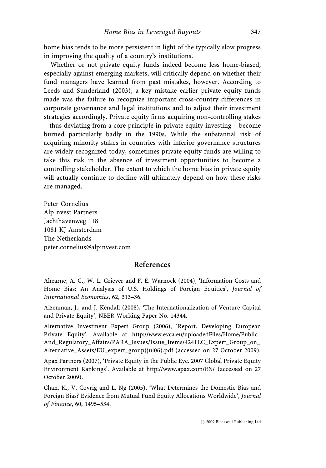home bias tends to be more persistent in light of the typically slow progress in improving the quality of a country's institutions.

Whether or not private equity funds indeed become less home-biased, especially against emerging markets, will critically depend on whether their fund managers have learned from past mistakes, however. According to Leeds and Sunderland (2003), a key mistake earlier private equity funds made was the failure to recognize important cross-country differences in corporate governance and legal institutions and to adjust their investment strategies accordingly. Private equity firms acquiring non-controlling stakes – thus deviating from a core principle in private equity investing – become burned particularly badly in the 1990s. While the substantial risk of acquiring minority stakes in countries with inferior governance structures are widely recognized today, sometimes private equity funds are willing to take this risk in the absence of investment opportunities to become a controlling stakeholder. The extent to which the home bias in private equity will actually continue to decline will ultimately depend on how these risks are managed.

Peter Cornelius AlpInvest Partners Jachthavenweg 118 1081 KJ Amsterdam The Netherlands [peter.cornelius@alpinvest.com](mailto:peter.cornelius@alpinvest.com)

# References

Ahearne, A. G., W. L. Griever and F. E. Warnock (2004), 'Information Costs and Home Bias: An Analysis of U.S. Holdings of Foreign Equities', Journal of International Economics, 62, 313–36.

Aizenman, J., and J. Kendall (2008), 'The Internationalization of Venture Capital and Private Equity', NBER Working Paper No. 14344.

Alternative Investment Expert Group (2006), 'Report. Developing European Private Equity'. Available at [http://www.evca.eu/uploadedFiles/Home/Public\\_](http://www.evca.eu/uploadedFiles/Home/Public_And_Regulatory_Affairs/PARA_Issues/Issue_Items/4241EC_Expert_Group_on_Alternative_Assets/EU_expert_group(jul06).pdf) [And\\_Regulatory\\_Affairs/PARA\\_Issues/Issue\\_Items/4241EC\\_Expert\\_Group\\_on\\_](http://www.evca.eu/uploadedFiles/Home/Public_And_Regulatory_Affairs/PARA_Issues/Issue_Items/4241EC_Expert_Group_on_Alternative_Assets/EU_expert_group(jul06).pdf) [Alternative\\_Assets/EU\\_expert\\_group\(jul06\).pdf \(accessed on 27 October 2009\).](http://www.evca.eu/uploadedFiles/Home/Public_And_Regulatory_Affairs/PARA_Issues/Issue_Items/4241EC_Expert_Group_on_Alternative_Assets/EU_expert_group(jul06).pdf)

Apax Partners (2007), 'Private Equity in the Public Eye. 2007 Global Private Equity Environment Rankings'. Available at http://www.apax.com/EN/ (accessed on 27 October 2009).

Chan, K., V. Covrig and L. Ng (2005), 'What Determines the Domestic Bias and Foreign Bias? Evidence from Mutual Fund Equity Allocations Worldwide', Journal of Finance, 60, 1495–534.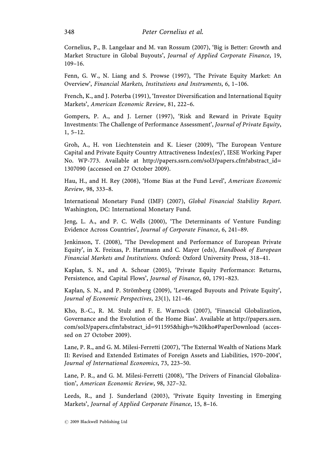Cornelius, P., B. Langelaar and M. van Rossum (2007), 'Big is Better: Growth and Market Structure in Global Buyouts', Journal of Applied Corporate Finance, 19, 109–16.

Fenn, G. W., N. Liang and S. Prowse (1997), 'The Private Equity Market: An Overview', Financial Markets, Institutions and Instruments, 6, 1–106.

French, K., and J. Poterba (1991), 'Investor Diversification and International Equity Markets', American Economic Review, 81, 222–6.

Gompers, P. A., and J. Lerner (1997), 'Risk and Reward in Private Equity Investments: The Challenge of Performance Assessment', Journal of Private Equity, 1, 5–12.

Groh, A., H. von Liechtenstein and K. Lieser (2009), 'The European Venture Capital and Private Equity Country Attractiveness Index(es)', IESE Working Paper No. WP-773. Available at [http://papers.ssrn.com/sol3/papers.cfm?abstract\\_id=](http://papers.ssrn.com/sol3/papers.cfm?abstract_id=1307090) [1307090 \(accessed on 27 October 2009\).](http://papers.ssrn.com/sol3/papers.cfm?abstract_id=1307090)

Hau, H., and H. Rey (2008), 'Home Bias at the Fund Level', American Economic Review, 98, 333–8.

International Monetary Fund (IMF) (2007), Global Financial Stability Report. Washington, DC: International Monetary Fund.

Jeng, L. A., and P. C. Wells (2000), 'The Determinants of Venture Funding: Evidence Across Countries', Journal of Corporate Finance, 6, 241–89.

Jenkinson, T. (2008), 'The Development and Performance of European Private Equity', in X. Freixas, P. Hartmann and C. Mayer (eds), Handbook of European Financial Markets and Institutions. Oxford: Oxford University Press, 318–41.

Kaplan, S. N., and A. Schoar (2005), 'Private Equity Performance: Returns, Persistence, and Capital Flows', Journal of Finance, 60, 1791–823.

Kaplan, S. N., and P. Strömberg (2009), 'Leveraged Buyouts and Private Equity', Journal of Economic Perspectives, 23(1), 121–46.

Kho, B.-C., R. M. Stulz and F. E. Warnock (2007), 'Financial Globalization, Governance and the Evolution of the Home Bias'. Available at [http://papers.ssrn.](http://papers.ssrn.com/sol3/papers.cfm?abstract_id=911595&high=%20kho#PaperDownload) [com/sol3/papers.cfm?abstract\\_id=911595&high=%20kho#PaperDownload \(acces](http://papers.ssrn.com/sol3/papers.cfm?abstract_id=911595&high=%20kho#PaperDownload)[sed on 27 October 2009\).](http://papers.ssrn.com/sol3/papers.cfm?abstract_id=911595&high=%20kho#PaperDownload)

Lane, P. R., and G. M. Milesi-Ferretti (2007), 'The External Wealth of Nations Mark II: Revised and Extended Estimates of Foreign Assets and Liabilities, 1970–2004', Journal of International Economics, 73, 223–50.

Lane, P. R., and G. M. Milesi-Ferretti (2008), 'The Drivers of Financial Globalization', American Economic Review, 98, 327–32.

Leeds, R., and J. Sunderland (2003), 'Private Equity Investing in Emerging Markets', Journal of Applied Corporate Finance, 15, 8–16.

 $O$  2009 Blackwell Publishing Ltd